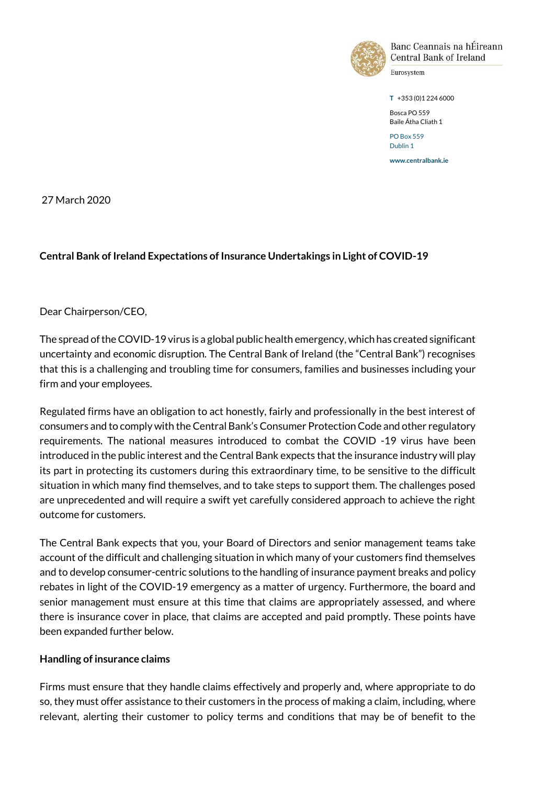

Banc Ceannais na hÉireann **Central Bank of Ireland** 

Eurosystem

**T** +353 (0)1 224 6000

Bosca PO 559 Baile Átha Cliath 1 PO Box 559

Dublin 1 **www.centralbank.ie**

27 March 2020

## **Central Bank of Ireland Expectations of Insurance Undertakings in Light of COVID-19**

Dear Chairperson/CEO,

The spread of the COVID-19 virus is a global public health emergency, which has created significant uncertainty and economic disruption. The Central Bank of Ireland (the "Central Bank") recognises that this is a challenging and troubling time for consumers, families and businesses including your firm and your employees.

Regulated firms have an obligation to act honestly, fairly and professionally in the best interest of consumers and to comply with the Central Bank's Consumer Protection Code and other regulatory requirements. The national measures introduced to combat the COVID -19 virus have been introduced in the public interest and the Central Bank expects that the insurance industry will play its part in protecting its customers during this extraordinary time, to be sensitive to the difficult situation in which many find themselves, and to take steps to support them. The challenges posed are unprecedented and will require a swift yet carefully considered approach to achieve the right outcome for customers.

The Central Bank expects that you, your Board of Directors and senior management teams take account of the difficult and challenging situation in which many of your customers find themselves and to develop consumer-centric solutions to the handling of insurance payment breaks and policy rebates in light of the COVID-19 emergency as a matter of urgency. Furthermore, the board and senior management must ensure at this time that claims are appropriately assessed, and where there is insurance cover in place, that claims are accepted and paid promptly. These points have been expanded further below.

## **Handling of insurance claims**

Firms must ensure that they handle claims effectively and properly and, where appropriate to do so, they must offer assistance to their customers in the process of making a claim, including, where relevant, alerting their customer to policy terms and conditions that may be of benefit to the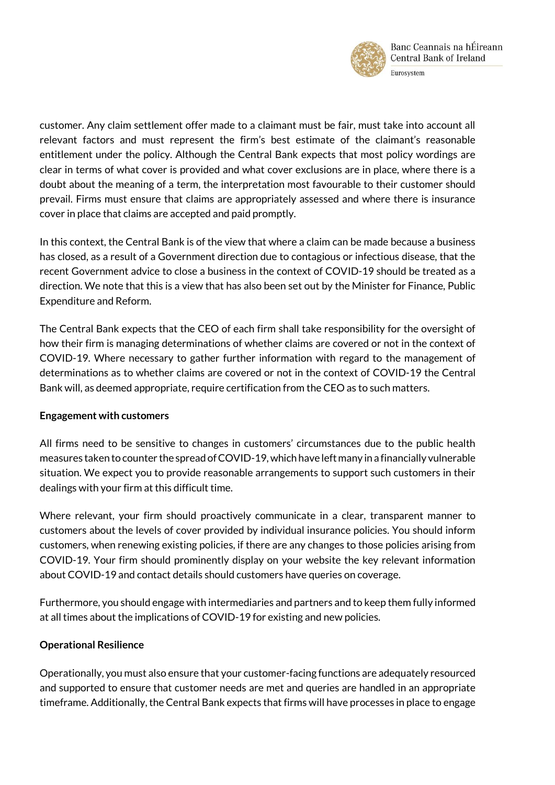

customer. Any claim settlement offer made to a claimant must be fair, must take into account all relevant factors and must represent the firm's best estimate of the claimant's reasonable entitlement under the policy. Although the Central Bank expects that most policy wordings are clear in terms of what cover is provided and what cover exclusions are in place, where there is a doubt about the meaning of a term, the interpretation most favourable to their customer should prevail. Firms must ensure that claims are appropriately assessed and where there is insurance cover in place that claims are accepted and paid promptly.

In this context, the Central Bank is of the view that where a claim can be made because a business has closed, as a result of a Government direction due to contagious or infectious disease, that the recent Government advice to close a business in the context of COVID-19 should be treated as a direction. We note that this is a view that has also been set out by the Minister for Finance, Public Expenditure and Reform.

The Central Bank expects that the CEO of each firm shall take responsibility for the oversight of how their firm is managing determinations of whether claims are covered or not in the context of COVID-19. Where necessary to gather further information with regard to the management of determinations as to whether claims are covered or not in the context of COVID-19 the Central Bank will, as deemed appropriate, require certification from the CEO as to such matters.

## **Engagement with customers**

All firms need to be sensitive to changes in customers' circumstances due to the public health measures taken to counter the spread of COVID-19, which have left many in a financially vulnerable situation. We expect you to provide reasonable arrangements to support such customers in their dealings with your firm at this difficult time.

Where relevant, your firm should proactively communicate in a clear, transparent manner to customers about the levels of cover provided by individual insurance policies. You should inform customers, when renewing existing policies, if there are any changes to those policies arising from COVID-19. Your firm should prominently display on your website the key relevant information about COVID-19 and contact details should customers have queries on coverage.

Furthermore, you should engage with intermediaries and partners and to keep them fully informed at all times about the implications of COVID-19 for existing and new policies.

## **Operational Resilience**

Operationally, you must also ensure that your customer-facing functions are adequately resourced and supported to ensure that customer needs are met and queries are handled in an appropriate timeframe. Additionally, the Central Bank expects that firms will have processes in place to engage